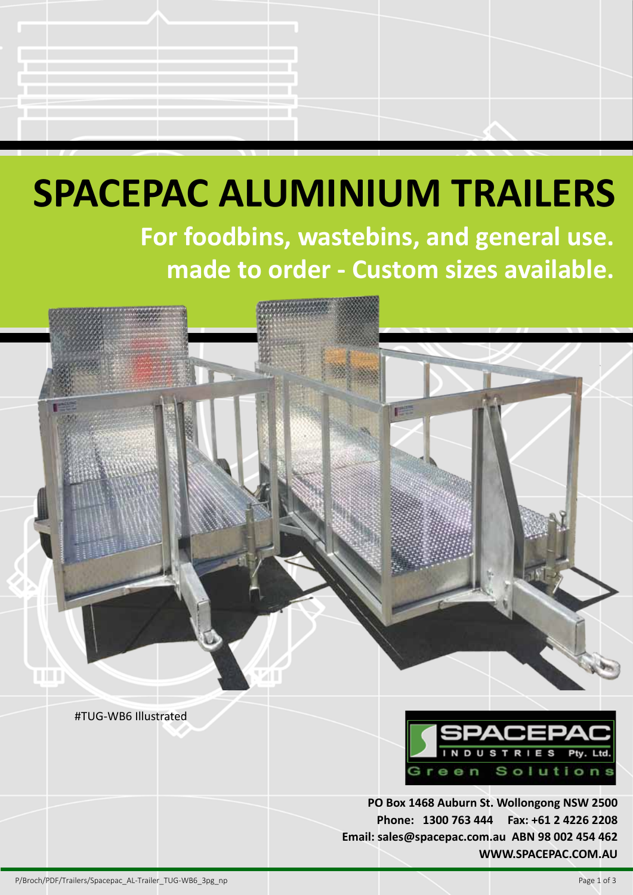# **SPACEPAC ALUMINIUM TRAILERS For foodbins, wastebins, and general use. made to order - Custom sizes available.**

#TUG-WB6 Illustrated



**PO Box 1468 Auburn St. Wollongong NSW 2500 Phone: 1300 763 444 Fax: +61 2 4226 2208 Email: sales@spacepac.com.au ABN 98 002 454 462 WWW.SPACEPAC.COM.AU**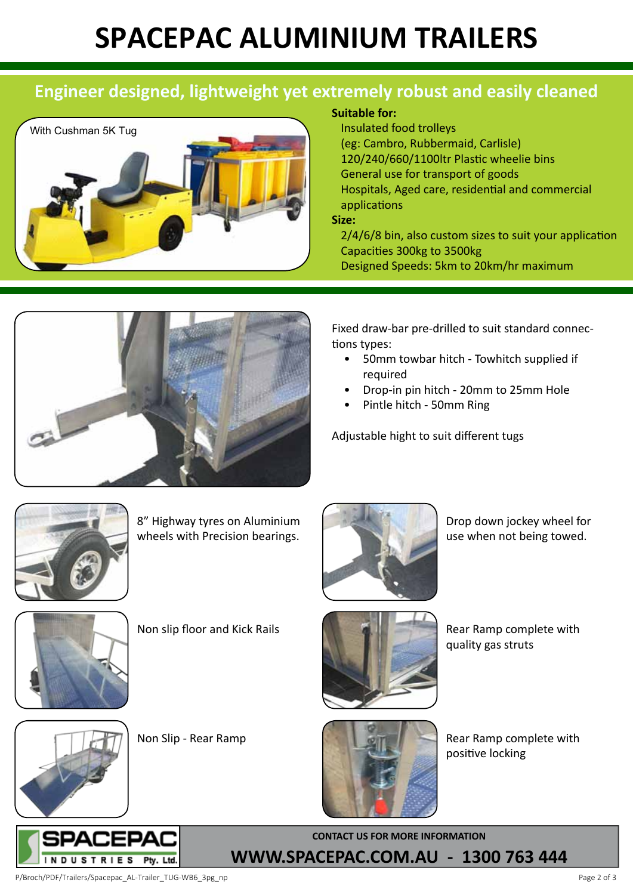## **SPACEPAC ALUMINIUM TRAILER S**

### **Engineer designed, lightweight yet extremely robust and easily cleaned**



#### **Suitable for:**

Insulated food trolleys (eg: Cambro, Rubbermaid, Carlisle) 120/240/660/1100ltr Plastic wheelie bins General use for transport of goods Hospitals, Aged care, residential and commercial applications **Size:** 

 $2/4/6/8$  bin, also custom sizes to suit your application Capacities 300kg to 3500kg Designed Speeds: 5km to 20km/hr maximum

Fixed draw-bar pre-drilled to suit standard connections types:

- 50mmtowbar hitch- Towhitch supplied if required
- Drop-in pin hitch 20mm to 25mm Hole
- Pintle hitch- 50mm Ring

Adjustable hight to suit different tugs



8" Highway tyres on Aluminium wheels with Precision bearings.



Drop down jockey wheel for use when not being towed.



Non slip floor and Kick Rails



Rear Ramp complete with quality gas struts



Non Slip - Rear Ramp



Rear Ramp complete with positive locking



**CONTACT US FOR MORE INFORMATION WWW.SPACEPAC.COM.AU - 1300 763 444**

P/Broch/PDF/Trailers/Spacepac\_AL-Trailer\_TUG-WB6\_3pg\_np Page 2 of 3